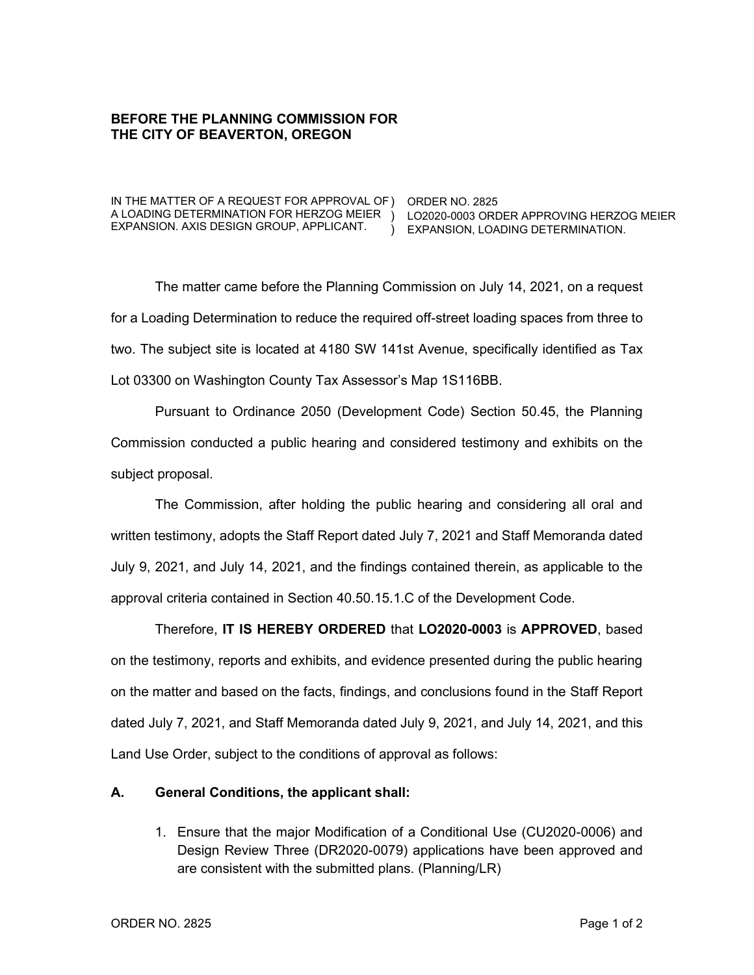## **BEFORE THE PLANNING COMMISSION FOR THE CITY OF BEAVERTON, OREGON**

IN THE MATTER OF A REQUEST FOR APPROVAL OF ) ORDER NO. 2825 A LOADING DETERMINATION FOR HERZOG MEIER ) LO2020-0003 ORDER APPROVING HERZOG MEIER EXPANSION. AXIS DESIGN GROUP, APPLICANT.

) EXPANSION, LOADING DETERMINATION.

The matter came before the Planning Commission on July 14, 2021, on a request for a Loading Determination to reduce the required off-street loading spaces from three to two. The subject site is located at 4180 SW 141st Avenue, specifically identified as Tax Lot 03300 on Washington County Tax Assessor's Map 1S116BB.

Pursuant to Ordinance 2050 (Development Code) Section 50.45, the Planning Commission conducted a public hearing and considered testimony and exhibits on the subject proposal.

The Commission, after holding the public hearing and considering all oral and written testimony, adopts the Staff Report dated July 7, 2021 and Staff Memoranda dated July 9, 2021, and July 14, 2021, and the findings contained therein, as applicable to the approval criteria contained in Section 40.50.15.1.C of the Development Code.

Therefore, **IT IS HEREBY ORDERED** that **LO2020-0003** is **APPROVED**, based on the testimony, reports and exhibits, and evidence presented during the public hearing on the matter and based on the facts, findings, and conclusions found in the Staff Report dated July 7, 2021, and Staff Memoranda dated July 9, 2021, and July 14, 2021, and this Land Use Order, subject to the conditions of approval as follows:

## **A. General Conditions, the applicant shall:**

1. Ensure that the major Modification of a Conditional Use (CU2020-0006) and Design Review Three (DR2020-0079) applications have been approved and are consistent with the submitted plans. (Planning/LR)